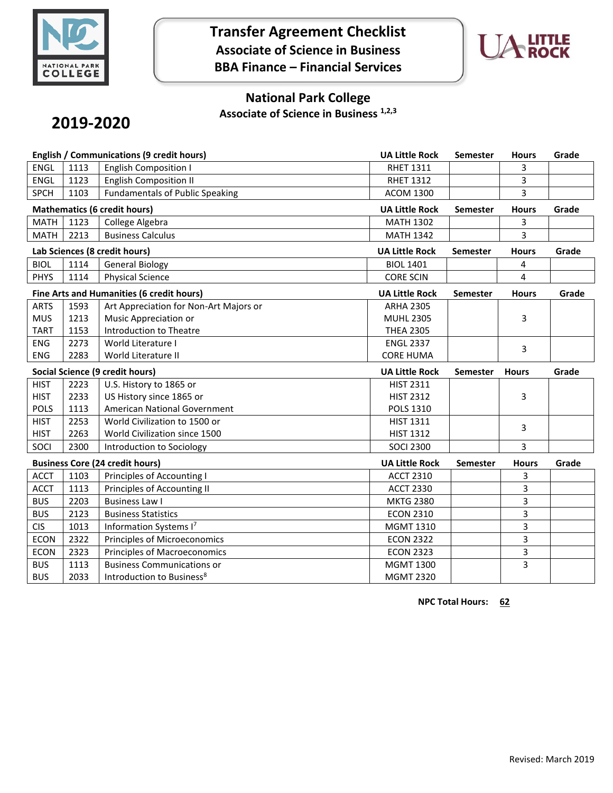

**Transfer Agreement Checklist Associate of Science in Business BBA Finance – Financial Services**



## **National Park College**

**Associate of Science in Business 1,2,3**

# **2019-2020**

| <b>English / Communications (9 credit hours)</b> |      | <b>UA Little Rock</b>                  | Semester              | <b>Hours</b>    | Grade        |       |
|--------------------------------------------------|------|----------------------------------------|-----------------------|-----------------|--------------|-------|
| <b>ENGL</b>                                      | 1113 | <b>English Composition I</b>           | <b>RHET 1311</b>      |                 | 3            |       |
| <b>ENGL</b>                                      | 1123 | <b>English Composition II</b>          | <b>RHET 1312</b>      |                 | 3            |       |
| <b>SPCH</b>                                      | 1103 | <b>Fundamentals of Public Speaking</b> | <b>ACOM 1300</b>      |                 | 3            |       |
| <b>Mathematics (6 credit hours)</b>              |      |                                        | <b>UA Little Rock</b> | Semester        | <b>Hours</b> | Grade |
| <b>MATH</b>                                      | 1123 | College Algebra                        | <b>MATH 1302</b>      |                 | 3            |       |
| <b>MATH</b>                                      | 2213 | <b>Business Calculus</b>               | <b>MATH 1342</b>      |                 | 3            |       |
| Lab Sciences (8 credit hours)                    |      |                                        | <b>UA Little Rock</b> | <b>Semester</b> | <b>Hours</b> | Grade |
| <b>BIOL</b>                                      | 1114 | <b>General Biology</b>                 | <b>BIOL 1401</b>      |                 | 4            |       |
| <b>PHYS</b>                                      | 1114 | <b>Physical Science</b>                | <b>CORE SCIN</b>      |                 | 4            |       |
| Fine Arts and Humanities (6 credit hours)        |      |                                        | <b>UA Little Rock</b> | <b>Semester</b> | <b>Hours</b> | Grade |
| <b>ARTS</b>                                      | 1593 | Art Appreciation for Non-Art Majors or | <b>ARHA 2305</b>      |                 |              |       |
| <b>MUS</b>                                       | 1213 | Music Appreciation or                  | <b>MUHL 2305</b>      |                 | 3            |       |
| <b>TART</b>                                      | 1153 | Introduction to Theatre                | <b>THEA 2305</b>      |                 |              |       |
| <b>ENG</b>                                       | 2273 | World Literature I                     | <b>ENGL 2337</b>      |                 | 3            |       |
| <b>ENG</b>                                       | 2283 | World Literature II                    | <b>CORE HUMA</b>      |                 |              |       |
| Social Science (9 credit hours)                  |      |                                        |                       |                 |              |       |
|                                                  |      |                                        | <b>UA Little Rock</b> | <b>Semester</b> | <b>Hours</b> | Grade |
| <b>HIST</b>                                      | 2223 | U.S. History to 1865 or                | <b>HIST 2311</b>      |                 |              |       |
| <b>HIST</b>                                      | 2233 | US History since 1865 or               | <b>HIST 2312</b>      |                 | 3            |       |
| <b>POLS</b>                                      | 1113 | American National Government           | <b>POLS 1310</b>      |                 |              |       |
| <b>HIST</b>                                      | 2253 | World Civilization to 1500 or          | <b>HIST 1311</b>      |                 |              |       |
| <b>HIST</b>                                      | 2263 | World Civilization since 1500          | <b>HIST 1312</b>      |                 | 3            |       |
| SOCI                                             | 2300 | Introduction to Sociology              | <b>SOCI 2300</b>      |                 | 3            |       |
|                                                  |      | <b>Business Core (24 credit hours)</b> | <b>UA Little Rock</b> | <b>Semester</b> | <b>Hours</b> | Grade |
| <b>ACCT</b>                                      | 1103 | Principles of Accounting I             | <b>ACCT 2310</b>      |                 | 3            |       |
| <b>ACCT</b>                                      | 1113 | Principles of Accounting II            | <b>ACCT 2330</b>      |                 | 3            |       |
| <b>BUS</b>                                       | 2203 | <b>Business Law I</b>                  | <b>MKTG 2380</b>      |                 | 3            |       |
| <b>BUS</b>                                       | 2123 | <b>Business Statistics</b>             | <b>ECON 2310</b>      |                 | 3            |       |
| <b>CIS</b>                                       | 1013 | Information Systems I7                 | MGMT 1310             |                 | 3            |       |
| <b>ECON</b>                                      | 2322 | Principles of Microeconomics           | <b>ECON 2322</b>      |                 | 3            |       |
| <b>ECON</b>                                      | 2323 | Principles of Macroeconomics           | <b>ECON 2323</b>      |                 | 3            |       |
| <b>BUS</b>                                       | 1113 | <b>Business Communications or</b>      | <b>MGMT 1300</b>      |                 | 3            |       |

**NPC Total Hours: 62**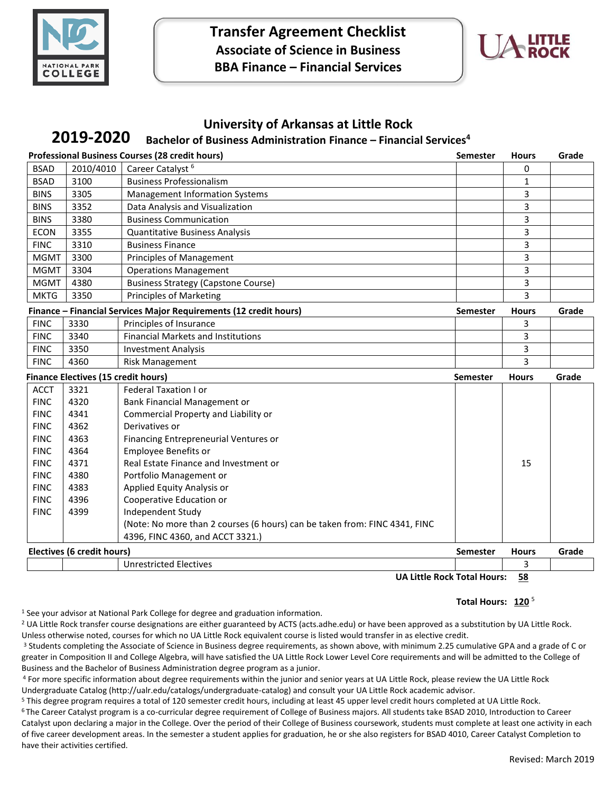

**Transfer Agreement Checklist Associate of Science in Business BBA Finance – Financial Services**



## **University of Arkansas at Little Rock**

#### **Bachelor of Business Administration Finance – Financial Services<sup>4</sup> 2019-2020**

| <b>Professional Business Courses (28 credit hours)</b><br>Semester |                            |                                                                            |                 | <b>Hours</b> | Grade |
|--------------------------------------------------------------------|----------------------------|----------------------------------------------------------------------------|-----------------|--------------|-------|
| <b>BSAD</b>                                                        | 2010/4010                  | Career Catalyst <sup>6</sup>                                               |                 | 0            |       |
| <b>BSAD</b>                                                        | 3100                       | <b>Business Professionalism</b>                                            |                 | 1            |       |
| <b>BINS</b>                                                        | 3305                       | <b>Management Information Systems</b>                                      |                 | 3            |       |
| <b>BINS</b>                                                        | 3352                       | Data Analysis and Visualization                                            |                 | 3            |       |
| <b>BINS</b>                                                        | 3380                       | <b>Business Communication</b>                                              |                 | 3            |       |
| <b>ECON</b>                                                        | 3355                       | <b>Quantitative Business Analysis</b>                                      |                 | 3            |       |
| <b>FINC</b>                                                        | 3310                       | <b>Business Finance</b>                                                    |                 | 3            |       |
| <b>MGMT</b>                                                        | 3300                       | <b>Principles of Management</b>                                            |                 | 3            |       |
| <b>MGMT</b>                                                        | 3304                       | <b>Operations Management</b>                                               |                 | 3            |       |
| <b>MGMT</b>                                                        | 4380                       | <b>Business Strategy (Capstone Course)</b>                                 |                 | 3            |       |
| <b>MKTG</b>                                                        | 3350                       | <b>Principles of Marketing</b>                                             |                 | 3            |       |
| Finance - Financial Services Major Requirements (12 credit hours)  |                            |                                                                            | <b>Semester</b> | <b>Hours</b> | Grade |
| <b>FINC</b>                                                        | 3330                       | Principles of Insurance                                                    |                 | 3            |       |
| <b>FINC</b>                                                        | 3340                       | <b>Financial Markets and Institutions</b>                                  |                 | 3            |       |
| <b>FINC</b>                                                        | 3350                       | <b>Investment Analysis</b>                                                 |                 | 3            |       |
| <b>FINC</b>                                                        | 4360                       | <b>Risk Management</b>                                                     |                 | 3            |       |
| <b>Finance Electives (15 credit hours)</b>                         |                            | <b>Semester</b>                                                            | <b>Hours</b>    | Grade        |       |
| <b>ACCT</b>                                                        | 3321                       | Federal Taxation I or                                                      |                 |              |       |
|                                                                    |                            |                                                                            |                 |              |       |
| <b>FINC</b>                                                        | 4320                       | Bank Financial Management or                                               |                 |              |       |
| <b>FINC</b>                                                        | 4341                       | Commercial Property and Liability or                                       |                 |              |       |
| <b>FINC</b>                                                        | 4362                       | Derivatives or                                                             |                 |              |       |
| <b>FINC</b>                                                        | 4363                       | Financing Entrepreneurial Ventures or                                      |                 |              |       |
| <b>FINC</b>                                                        | 4364                       | <b>Employee Benefits or</b>                                                |                 |              |       |
| <b>FINC</b>                                                        | 4371                       | Real Estate Finance and Investment or                                      |                 | 15           |       |
| <b>FINC</b>                                                        | 4380                       | Portfolio Management or                                                    |                 |              |       |
| <b>FINC</b>                                                        | 4383                       | Applied Equity Analysis or                                                 |                 |              |       |
| <b>FINC</b>                                                        | 4396                       | Cooperative Education or                                                   |                 |              |       |
| <b>FINC</b>                                                        | 4399                       | Independent Study                                                          |                 |              |       |
|                                                                    |                            | (Note: No more than 2 courses (6 hours) can be taken from: FINC 4341, FINC |                 |              |       |
|                                                                    |                            | 4396, FINC 4360, and ACCT 3321.)                                           |                 |              |       |
|                                                                    | Electives (6 credit hours) |                                                                            | <b>Semester</b> | <b>Hours</b> | Grade |

**UA Little Rock Total Hours: 58**

### Total Hours: 120<sup>5</sup>

<sup>1</sup> See your advisor at National Park College for degree and graduation information.

<sup>2</sup> UA Little Rock transfer course designations are either guaranteed by ACTS (acts.adhe.edu) or have been approved as a substitution by UA Little Rock. Unless otherwise noted, courses for which no UA Little Rock equivalent course is listed would transfer in as elective credit.

<sup>3</sup> Students completing the Associate of Science in Business degree requirements, as shown above, with minimum 2.25 cumulative GPA and a grade of C or greater in Composition II and College Algebra, will have satisfied the UA Little Rock Lower Level Core requirements and will be admitted to the College of Business and the Bachelor of Business Administration degree program as a junior.

<sup>4</sup> For more specific information about degree requirements within the junior and senior years at UA Little Rock, please review the UA Little Rock Undergraduate Catalog (http://ualr.edu/catalogs/undergraduate-catalog) and consult your UA Little Rock academic advisor.

<sup>5</sup> This degree program requires a total of 120 semester credit hours, including at least 45 upper level credit hours completed at UA Little Rock.

<sup>6</sup>The Career Catalyst program is a co-curricular degree requirement of College of Business majors. All students take BSAD 2010, Introduction to Career Catalyst upon declaring a major in the College. Over the period of their College of Business coursework, students must complete at least one activity in each of five career development areas. In the semester a student applies for graduation, he or she also registers for BSAD 4010, Career Catalyst Completion to have their activities certified.